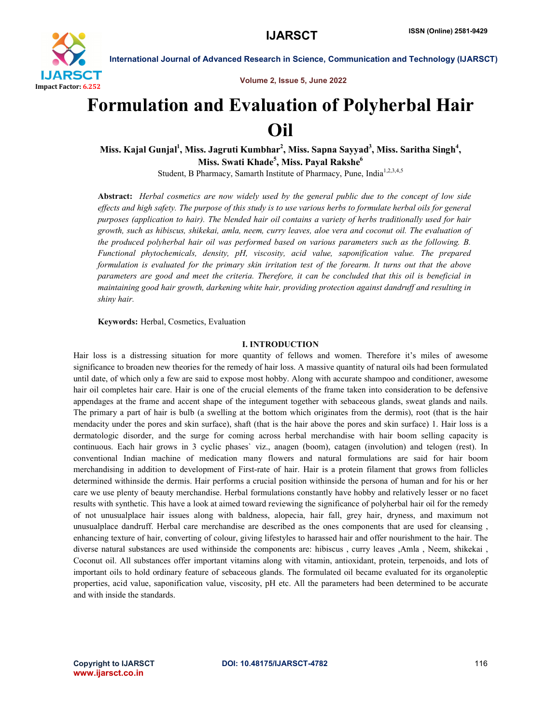

International Journal of Advanced Research in Science, Communication and Technology (IJARSCT)

Volume 2, Issue 5, June 2022

### Formulation and Evaluation of Polyherbal Hair Oil

Miss. Kajal Gunjal $^{\rm l}$ , Miss. Jagruti Kumbhar $^{\rm 2}$ , Miss. Sapna Sayyad $^{\rm 3}$ , Miss. Saritha Singh $^{\rm 4}$ , Miss. Swati Khade $^5$ , Miss. Payal Rakshe $^6$ 

Student, B Pharmacy, Samarth Institute of Pharmacy, Pune, India<sup>1,2,3,4,5</sup>

Abstract: *Herbal cosmetics are now widely used by the general public due to the concept of low side effects and high safety. The purpose of this study is to use various herbs to formulate herbal oils for general purposes (application to hair). The blended hair oil contains a variety of herbs traditionally used for hair growth, such as hibiscus, shikekai, amla, neem, curry leaves, aloe vera and coconut oil. The evaluation of the produced polyherbal hair oil was performed based on various parameters such as the following. B. Functional phytochemicals, density, pH, viscosity, acid value, saponification value. The prepared formulation is evaluated for the primary skin irritation test of the forearm. It turns out that the above parameters are good and meet the criteria. Therefore, it can be concluded that this oil is beneficial in maintaining good hair growth, darkening white hair, providing protection against dandruff and resulting in shiny hair.*

Keywords: Herbal, Cosmetics, Evaluation

#### I. INTRODUCTION

Hair loss is a distressing situation for more quantity of fellows and women. Therefore it's miles of awesome significance to broaden new theories for the remedy of hair loss. A massive quantity of natural oils had been formulated until date, of which only a few are said to expose most hobby. Along with accurate shampoo and conditioner, awesome hair oil completes hair care. Hair is one of the crucial elements of the frame taken into consideration to be defensive appendages at the frame and accent shape of the integument together with sebaceous glands, sweat glands and nails. The primary a part of hair is bulb (a swelling at the bottom which originates from the dermis), root (that is the hair mendacity under the pores and skin surface), shaft (that is the hair above the pores and skin surface) 1. Hair loss is a dermatologic disorder, and the surge for coming across herbal merchandise with hair boom selling capacity is continuous. Each hair grows in 3 cyclic phases` viz., anagen (boom), catagen (involution) and telogen (rest). In conventional Indian machine of medication many flowers and natural formulations are said for hair boom merchandising in addition to development of First-rate of hair. Hair is a protein filament that grows from follicles determined withinside the dermis. Hair performs a crucial position withinside the persona of human and for his or her care we use plenty of beauty merchandise. Herbal formulations constantly have hobby and relatively lesser or no facet results with synthetic. This have a look at aimed toward reviewing the significance of polyherbal hair oil for the remedy of not unusualplace hair issues along with baldness, alopecia, hair fall, grey hair, dryness, and maximum not unusualplace dandruff. Herbal care merchandise are described as the ones components that are used for cleansing , enhancing texture of hair, converting of colour, giving lifestyles to harassed hair and offer nourishment to the hair. The diverse natural substances are used withinside the components are: hibiscus , curry leaves ,Amla , Neem, shikekai , Coconut oil. All substances offer important vitamins along with vitamin, antioxidant, protein, terpenoids, and lots of important oils to hold ordinary feature of sebaceous glands. The formulated oil became evaluated for its organoleptic properties, acid value, saponification value, viscosity, pH etc. All the parameters had been determined to be accurate and with inside the standards.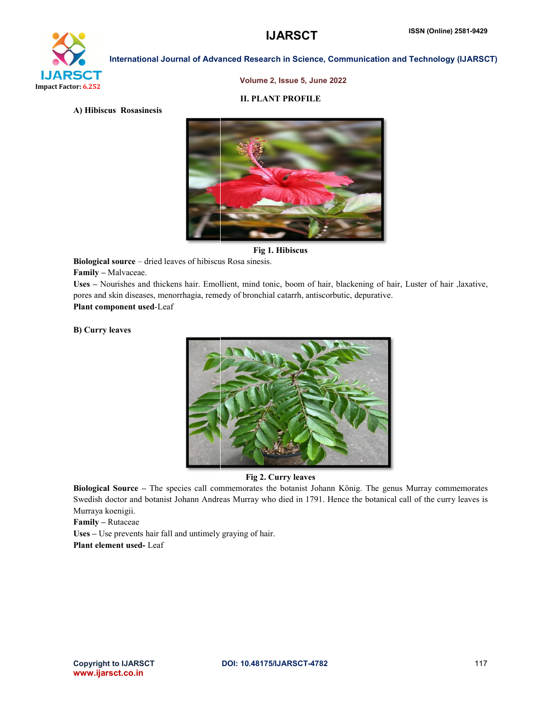#### **IJARSCT**



International Journal of Advanced Research in Science, Communication and Technology (IJARSCT)

#### Volume 2, Issue 5, June 2022

#### II. PLANT PROFILE

A) Hibiscus Rosasinesis



Fig 1. Hibiscus

Biological source – dried leaves of hibiscus Rosa sinesis.

Family – Malvaceae.

Uses – Nourishes and thickens hair. Emollient, mind tonic, boom of hair, blackening of hair, Luster of hair ,laxative, Biological source – dried leaves of hibiscus Rosa sinesis.<br>Family – Malvaceae.<br>Uses – Nourishes and thickens hair. Emollient, mind tonic, boom of hair, blackening of ha<br>pores and skin diseases, menorrhagia, remedy of bronc Plant component used-Leaf

B) Curry leaves



Fig 2. Curry leaves

Biological Source – The species call commemorates the botanist Johann König. The genus Murray commemorates Swedish doctor and botanist Johann Andreas Murray who died in 1791. Hence the botanical call of the curry leaves is Murraya koenigii.

Family – Rutaceae

Uses – Use prevents hair fall and untimely graying of hair. Plant element used- Leaf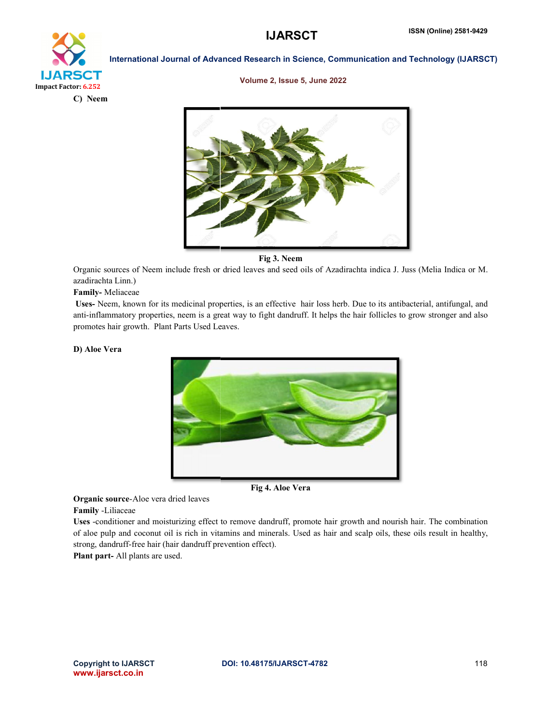## Impact Factor: 6.252 C) Neem

International Journal of Advanced Research in Science, Communication and Technology (IJARSCT)

#### Volume 2, Issue 5, June 2022



#### Fig 3. Neem

Organic sources of Neem include fresh or dried leaves and seed oils of Azadirachta indica J. Juss (Melia Indica or M. azadirachta Linn.)

Family- Meliaceae

Uses- Neem, known for its medicinal properties, is an effective hair loss herb. Due to its antibacterial, antifungal, and anti-inflammatory properties, neem is a great way to fight dandruff. It helps the hair follicles to grow stronger and also promotes hair growth. Plant Parts Used Leaves Initial Sources of Neem include fresh or dried leaves and seed oils of Azadirachta indica J. Ju<br>
irachta Linn.)<br> **illy-** Meliaceae<br> **s**- Neem, known for its medicinal properties, is an effective hair loss herb. Due to its

#### D) Aloe Vera



Fig 4. Aloe Vera

#### Organic source-Aloe vera dried leaves

Family -Liliaceae

Uses -conditioner and moisturizing effect to remove dandruff, promote hair growth and nourish hair. The combination of aloe pulp and coconut oil is rich in vitamins and minerals. Used as hair and scalp oils, these oils result in healthy, strong, dandruff-free hair (hair dandruff prevention effect).

Plant part- All plants are used.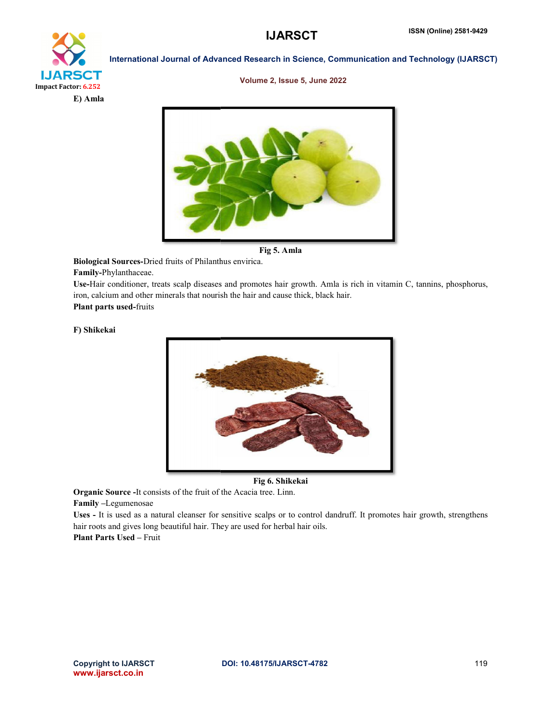#### **IJARSCT**



International Journal of Advanced Research in Science, Communication and Technology (IJARSCT)

#### Volume 2, Issue 5, June 2022



Fig 5. Amla

Biological Sources-Dried fruits of Philanthus envirica.

Family-Phylanthaceae.

Use-Hair conditioner, treats scalp diseases and promotes hair growth. Amla is rich in vitamin C, tannins, phosphorus, iron, calcium and other minerals that nourish the hair and cause thick, black hair. Dried fruits of Philanthus envirica.<br>
ae.<br>
x, treats scalp diseases and promotes<br>
her minerals that nourish the hair and

Plant parts used-fruits

#### F) Shikekai



Fig 6. Shikekai

Organic Source -It consists of the fruit of the Acacia tree. Linn. Family –Legumenosae

Uses - It is used as a natural cleanser for sensitive scalps or to control dandruff. It promotes hair growth, strengthens Uses - It is used as a natural cleanser for sensitive scalps or to control of hair roots and gives long beautiful hair. They are used for herbal hair oils. Plant Parts Used – Fruit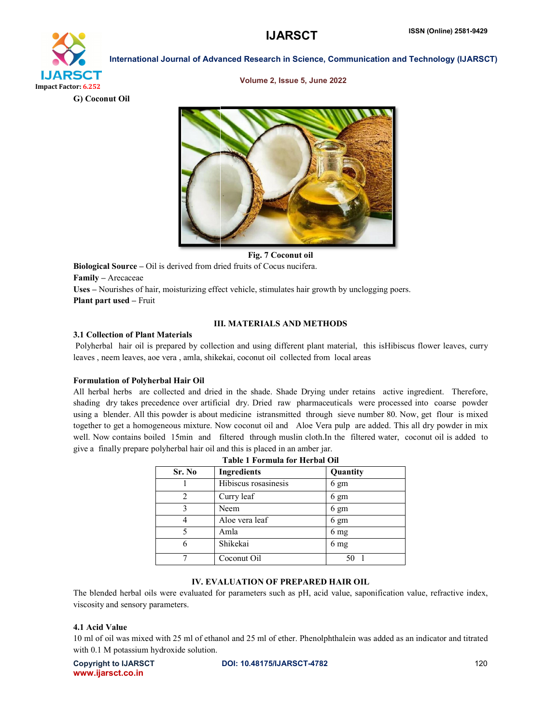# Impact Factor: 6.252

International Journal of Advanced Research in Science, Communication and Technology (IJARSCT)

G) Coconut Oil

#### Volume 2, Issue 5, June 2022



Fig. 7 Coconut oil

Biological Source – Oil is derived from dried fruits of Cocus nucifera.<br>Family – Arecaceae<br>Uses – Nourishes of hair, moisturizing effect vehicle, stimulates hair gr Family – Arecaceae Uses – Nourishes of hair, moisturizing effect vehicle, stimulates hair growth by unclogging poers.

Plant part used – Fruit

#### III. MATERIALS AND METHODS

#### 3.1 Collection of Plant Materials

Polyherbal hair oil is prepared by collection and using different plant material, this isHibiscus flower leaves, curry leaves, neem leaves, aoe vera, amla, shikekai, coconut oil collected from local areas

#### Formulation of Polyherbal Hair Oil

All herbal herbs are collected and dried in the shade. Shade Drying under retains active ingredient. Therefore, All herbal herbs are collected and dried in the shade. Shade Drying under retains active ingredient. Therefore, shading dry takes precedence over artificial dry. Dried raw pharmaceuticals were processed into coarse powder using a blender. All this powder is about medicine istransmitted through sieve number 80. Now, get flour is mixed together to get a homogeneous mixture. Now coconut oil and Aloe Vera pulp are added. This all dry powder in mix well. Now contains boiled 15min and filtered through muslin cloth. In the filtered water, coconut oil is added to give a finally prepare polyherbal hair oil and this is placed in an amber jar.

| Table I Fullmula ful Tiel Dal Off |                      |                 |  |  |
|-----------------------------------|----------------------|-----------------|--|--|
| Sr. No                            | Ingredients          | Quantity        |  |  |
|                                   | Hibiscus rosasinesis | 6 gm            |  |  |
| 2                                 | Curry leaf           | $6 \text{ gm}$  |  |  |
| 3                                 | Neem                 | 6 gm            |  |  |
|                                   | Aloe vera leaf       | $6 \text{ gm}$  |  |  |
| 5                                 | Amla                 | 6 <sub>mg</sub> |  |  |
| 6                                 | Shikekai             | 6 mg            |  |  |
|                                   | Coconut Oil          |                 |  |  |

#### Table 1 Formula for Herbal Oil

#### IV. EVALUATION OF PREPARED HAIR OIL

The blended herbal oils were evaluated for parameters such as pH, acid value, saponification value, refractive index, viscosity and sensory parameters.

#### 4.1 Acid Value

10 ml of oil was mixed with 25 ml of ethanol and 25 ml of ether. Phenolphthalein was added as an indicator and titrated with 0.1 M potassium hydroxide solution.

| <b>Copyright to IJARSCT</b> |  |  |
|-----------------------------|--|--|
| www.ijarsct.co.in           |  |  |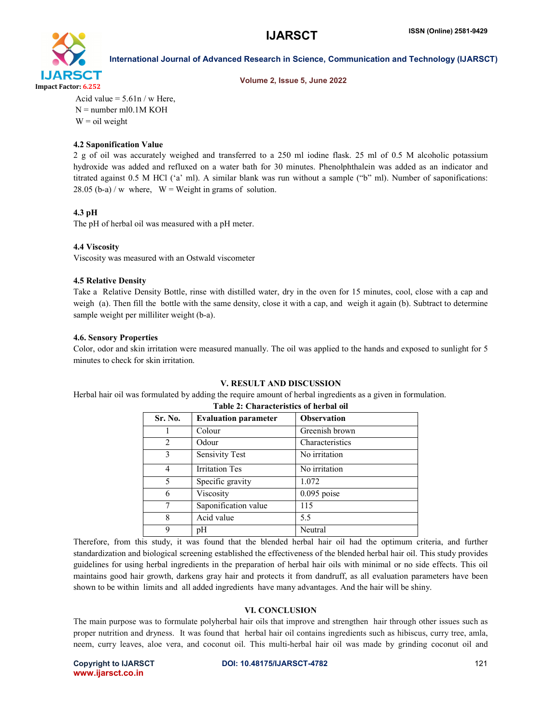

International Journal of Advanced Research in Science, Communication and Technology (IJARSCT)

#### Volume 2, Issue 5, June 2022

Acid value  $= 5.61n / w$  Here,  $N =$  number ml0.1M KOH  $W = oil$  weight

#### 4.2 Saponification Value

2 g of oil was accurately weighed and transferred to a 250 ml iodine flask. 25 ml of 0.5 M alcoholic potassium hydroxide was added and refluxed on a water bath for 30 minutes. Phenolphthalein was added as an indicator and titrated against 0.5 M HCl ('a' ml). A similar blank was run without a sample ("b" ml). Number of saponifications: 28.05 (b-a) / w where,  $W = Weight in grams of solution.$ 

#### 4.3 pH

The pH of herbal oil was measured with a pH meter.

#### 4.4 Viscosity

Viscosity was measured with an Ostwald viscometer

#### 4.5 Relative Density

Take a Relative Density Bottle, rinse with distilled water, dry in the oven for 15 minutes, cool, close with a cap and weigh (a). Then fill the bottle with the same density, close it with a cap, and weigh it again (b). Subtract to determine sample weight per milliliter weight (b-a).

#### 4.6. Sensory Properties

Color, odor and skin irritation were measured manually. The oil was applied to the hands and exposed to sunlight for 5 minutes to check for skin irritation.

#### V. RESULT AND DISCUSSION

Herbal hair oil was formulated by adding the require amount of herbal ingredients as a given in formulation.

| <b>Sr. No.</b>                | <b>Evaluation parameter</b> | <b>Observation</b> |
|-------------------------------|-----------------------------|--------------------|
|                               | Colour                      | Greenish brown     |
| $\mathfrak{D}_{\mathfrak{p}}$ | Odour                       | Characteristics    |
| 3                             | <b>Sensivity Test</b>       | No irritation      |
| 4                             | <b>Irritation Tes</b>       | No irritation      |
| 5                             | Specific gravity            | 1.072              |
| 6                             | Viscosity                   | $0.095$ poise      |
| 7                             | Saponification value        | 115                |
| 8                             | Acid value                  | 5.5                |
| 9                             | pН                          | Neutral            |

#### Table 2: Characteristics of herbal oil

Therefore, from this study, it was found that the blended herbal hair oil had the optimum criteria, and further standardization and biological screening established the effectiveness of the blended herbal hair oil. This study provides guidelines for using herbal ingredients in the preparation of herbal hair oils with minimal or no side effects. This oil maintains good hair growth, darkens gray hair and protects it from dandruff, as all evaluation parameters have been shown to be within limits and all added ingredients have many advantages. And the hair will be shiny.

#### VI. CONCLUSION

The main purpose was to formulate polyherbal hair oils that improve and strengthen hair through other issues such as proper nutrition and dryness. It was found that herbal hair oil contains ingredients such as hibiscus, curry tree, amla, neem, curry leaves, aloe vera, and coconut oil. This multi-herbal hair oil was made by grinding coconut oil and

www.ijarsct.co.in

#### Copyright to IJARSCT DOI: 10.48175/IJARSCT-4782 **121**